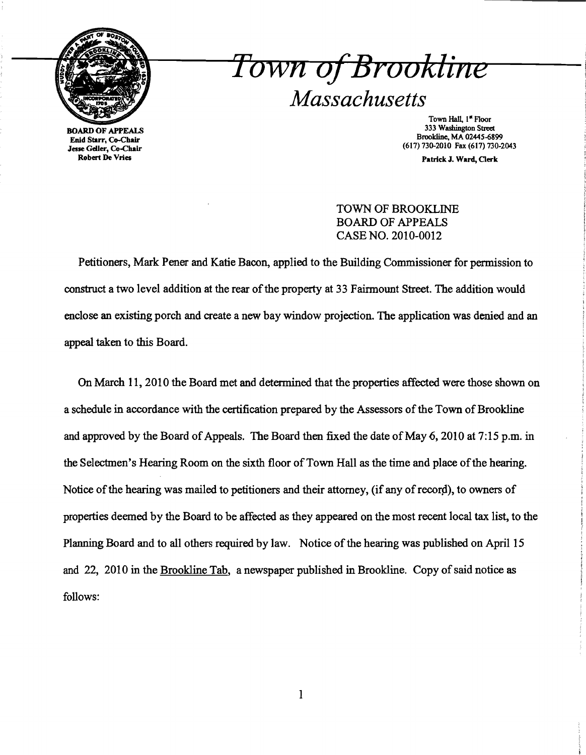

Town of Brookline *Massachusetts* 

BOARD OF APPEALS Enid Starr, Co-Chair Jesse Geller, Co-Chair Robert De Vries

Town Hall, 1<sup>"</sup> Floor 333 Washington Street Brookline. MA 02445-6899 (617) 730-2010 Fax (617) 730-2043

Patrick J. Ward, Oerk

TOWN OF BROOKLINE BOARD OF APPEALS CASE NO. 2010-0012

Petitioners, Mark Pener and Katie Bacon, applied to the Building Commissioner for permission to construct a two level addition at the rear of the property at 33 Fairmount Street. The addition would enclose an existing porch and create a new bay window projection. The application was denied and an appeal taken to this Board.

On March 11,2010 the Board met and determined that the properties affected were those shown on a schedule in accordance with the certification prepared by the Assessors of the Town of Brookline and approved by the Board of Appeals. The Board then fixed the date of May 6, 2010 at 7:15 p.m. in the Selectmen's Hearing Room on the sixth floor of Town Hall as the time and place of the hearing. Notice of the hearing was mailed to petitioners and their attorney, (if any of record), to owners of properties deemed by the Board to be affected as they appeared on the most recent local tax list, to the Planning Board and to all others required by law. Notice of the hearing was published on April 15 and 22, 2010 in the Brookline Tab, a newspaper published in Brookline. Copy of said notice as follows: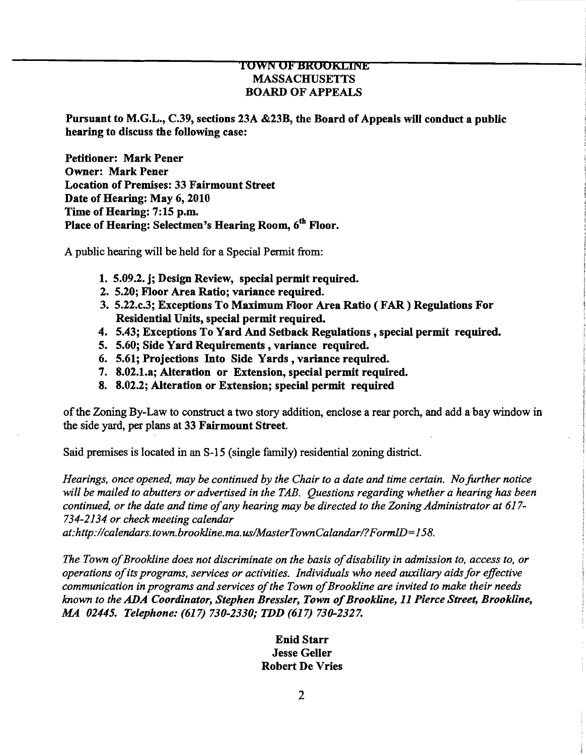## TOWN OF BROOKLINE MASSACHUSETTS BOARD OF APPEALS

֞֡

Pursuant to M.G.L., C.39, sections 23A &23B, the Board of Appeals will conduct a public hearing to discuss the following case:

Petitioner: Mark Pener Owner: Mark Pener Location of Premises: 33 Fairmount Street Date of Hearing: May 6, 2010 Time of Hearing: 7:15 p.m. Place of Hearing: Selectmen's Hearing Room, 6<sup>th</sup> Floor.

A public hearing will be held for a Special Permit from:

- 1. 5.09.2. j; Design Review, special permit required.
- 2. 5.20; Floor Area Ratio; variance required.
- 3. 5.22.c.3; Exceptions To Maximum Floor Area Ratio (FAR) Regulations For Residential Units, special permit required.
- 4. 5.43; Exceptions To Yard And Setback Regulations, special permit required.
- 5. 5.60; Side Yard Requirements, variance required.
- 6. 5.61; Projections Into Side Yards, variance required.
- 7. 8.02.1.a; Alteration or Extension, special permit required.
- 8. 8.02.2; Alteration or Extension; special permit required

ofthe Zoning By-Law to construct a two story addition, enclose a rear porch, and add a bay window in the side yard, per plans at 33 Fairmount Street.

Said premises is located in an S-15 (single family) residential zoning district.

*Hearings, once opened, may be continued by the Chair to a date and time certain. No further notice will be mailed to abutters or advertised in the TAB. Questions regarding whether a hearing has been continued, or the date and time ofany hearing may be directed to the Zoning Administrator at 617 734-2134 or check meeting calendar* 

*at:http://calendars.town.brookline.ma. us/MasterTownCalandar/?FormID=158.* 

The Town of Brookline does not discriminate on the basis of disability in admission to, access to, or *operations ofits programs, services or activities. Individuals who need auxiliary aids for effective communication in programs and services ofthe Town ofBrookline are invited to make their needs known to the ADA Coordinator, Stephen Bressler, Town ofBrookline,* 11 *Pierce Street, Brookline, MA 02445. Telephone:* (617) *730-2330; TDD* (617) *730-2327.* 

## Enid Starr Jesse Geller Robert De Vries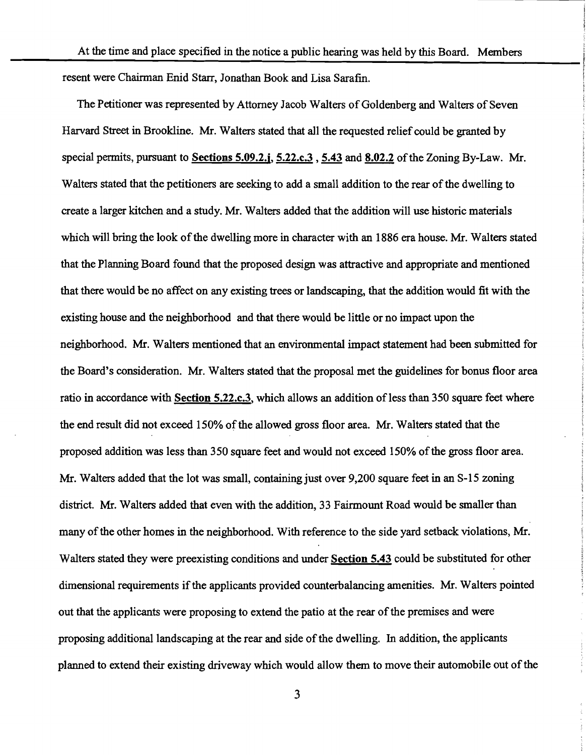At the time and place specified in the notice a public hearing was held by this Board. Members resent were Chairman Enid Starr, Jonathan Book and Lisa Sarafin.

The Petitioner was represented by Attorney Jacob Walters of Goldenberg and Walters of Seven Harvard Street in Brookline. Mr. Walters stated that all the requested relief could be granted by special permits, pursuant to Sections 5.09.2.j, 5.22.c.3, 5.43 and 8.02.2 of the Zoning By-Law. Mr. Walters stated that the petitioners are seeking to add a small addition to the rear of the dwelling to create a larger kitchen and a study. Mr. Walters added that the addition will use historic materials which will bring the look of the dwelling more in character with an 1886 era house. Mr. Walters stated that the Planning Board found that the proposed design was attractive and appropriate and mentioned that there would be no affect on any existing trees or landscaping, that the addition would fit with the existing house and the neighborhood and that there would be little or no impact upon the neighborhood. Mr. Walters mentioned that an environmental impact statement had been submitted for the Board's consideration. Mr. Walters stated that the proposal met the guidelines for bonus floor area ratio in accordance with Section 5.22.c.3, which allows an addition of less than 350 square feet where the end result did not exceed 150% of the allowed gross floor area. Mr. Walters stated that the proposed addition was less than 350 square feet and would not exceed 150% of the gross floor area. Mr. Walters added that the lot was small, containing just over 9,200 square feet in an S-15 zoning district. Mr. Walters added that even with the addition, 33 Fairmount Road would be smaller than many of the other homes in the neighborhood. With reference to the side yard setback violations, Mr. Walters stated they were preexisting conditions and under Section 5.43 could be substituted for other dimensional requirements if the applicants provided counterbalancing amenities. Mr. Walters pointed out that the applicants were proposing to extend the patio at the rear ofthe premises and were proposing additional landscaping at the rear and side of the dwelling. In addition, the applicants planned to extend their existing driveway which would allow them to move their automobile out of the

3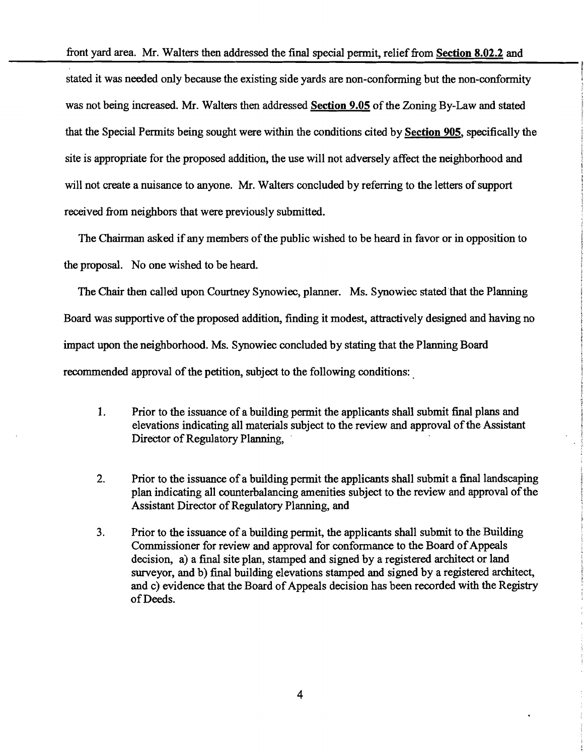front yard area. Mr. Walters then addressed the final special permit, relief from Section 8.02.2 and

stated it was needed only because the existing side yards are non-conforming but the non-conformity was not being increased. Mr. Walters then addressed Section 9.05 of the Zoning By-Law and stated that the Special Permits being sought were within the conditions cited by Section 905, specifically the site is appropriate for the proposed addition, the use will not adversely affect the neighborhood and will not create a nuisance to anyone. Mr. Walters concluded by referring to the letters of support received from neighbors that were previously submitted.

The Chairman asked if any members of the public wished to be heard in favor or in opposition to the proposal. No one wished to be heard.

The Chair then called upon Courtney Synowiec, planner. Ms. Synowiec stated that the Planning Board was supportive of the proposed addition, finding it modest, attractively designed and having no impact upon the neighborhood. Ms. Synowiec concluded by stating that the Planning Board recommended approval of the petition, subject to the following conditions:

- 1. Prior to the issuance of a building permit the applicants shall submit final plans and elevations indicating all materials subject to the review and approval of the Assistant Director of Regulatory Planning, .
- 2. Prior to the issuance of a building permit the applicants shall submit a final landscaping plan indicating all counterbalancing amenities subject to the review and approval of the Assistant Director of Regulatory Planning, and
- 3. Prior to the issuance of a building permit, the applicants shall submit to the Building Commissioner for review and approval for conformance to the Board of Appeals decision, a) a final site plan, stamped and signed by a registered architect or land surveyor, and b) final building elevations stamped and signed by a registered architect, and c) evidence that the Board of Appeals decision has been recorded with the Registry ofDeeds.

4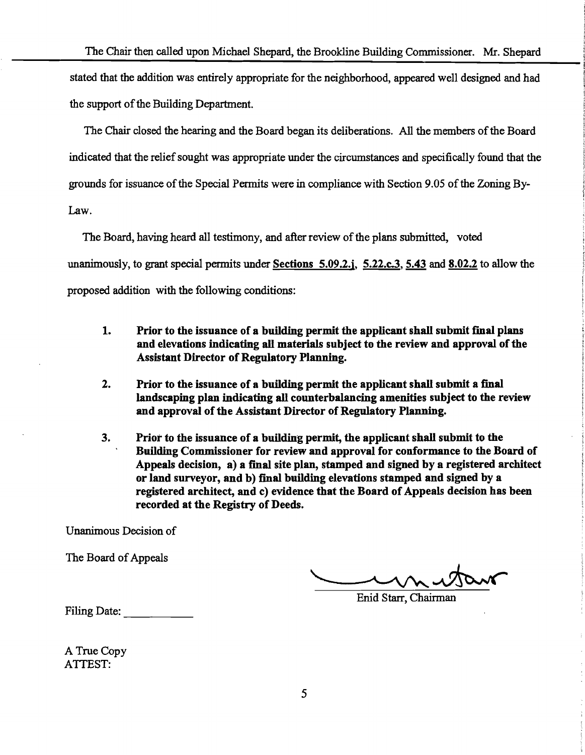The Chair then called upon Michael Shepard, the Brookline Building Commissioner. Mr. Shepard stated that the addition was entirely appropriate for the neighborhood, appeared well designed and had the support of the Building Department.

The Chair closed the hearing and the Board began its deliberations. All the members ofthe Board indicated that the relief sought was appropriate under the circumstances and specifically found that the grounds for issuance of the Special Permits were in compliance with Section 9.05 of the Zoning By-Law.

The Board, having heard all testimony, and after review of the plans submitted, voted unanimously, to grant special permits under Sections 5.09.2.j, 5.22.c.3, 5.43 and 8.02.2 to allow the proposed addition with the following conditions:

- 1. Prior to the issuance of a building permit the applicant shall submit final plans and elevations indicating all materials subject to the review and approval of the Assistant Director of Regulatory Planning.
- 2. Prior to the issuance of a building permit the applicant shall submit a final landscaping plan indicating all counterbalancing amenities subject to the review and approval of the Assistant Director of Regulatory Planning.
- 3. Prior to the issuance of a building permit, the applicant shall submit to the Building Commissioner for review and approval for conformance to the Board of Appeals decision, a) a final site plan, stamped and signed by a registered architect or land surveyor, and b) final building elevations stamped and signed by a registered architect, and c) evidence that the Board of Appeals decision has been recorded at the Registry of Deeds.

Unanimous Decision of

The Board of Appeals

Enid Starr, Chairman

Filing Date:

A True Copy ATTEST: